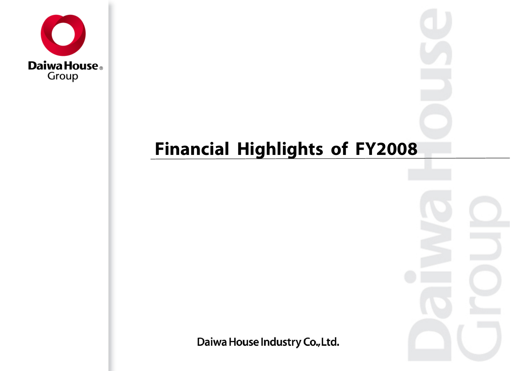

## **Financial Highlights of FY2008**

Daiwa House Industry Co., Ltd.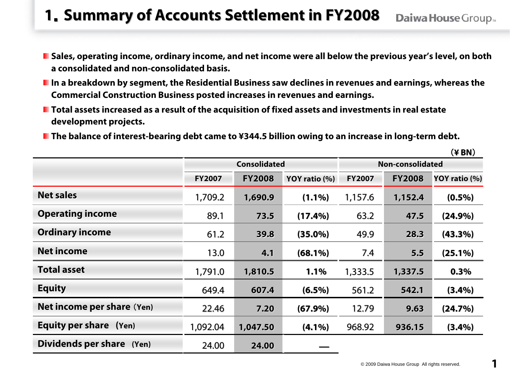#### **1. Summary of Accounts Settlement in FY2008** Daiwa House Group...

- Sales, operating income, ordinary income, and net income were all below the previous year's level, on both **a consolidated and non-consolidated basis.**
- **In a breakdown by segment, the Residential Business saw declines in revenues and earnings, whereas the Commercial Construction Business posted increases in revenues and earnings.**
- **Total assets increased as a result of the acquisition of fixed assets and investments in real estate development projects.**
- The balance of interest-bearing debt came to ¥344.5 billion owing to an increase in long-term debt.

|                            |               | <b>Consolidated</b> |               | Non-consolidated |               |               |  |
|----------------------------|---------------|---------------------|---------------|------------------|---------------|---------------|--|
|                            | <b>FY2007</b> | <b>FY2008</b>       | YOY ratio (%) | <b>FY2007</b>    | <b>FY2008</b> | YOY ratio (%) |  |
| <b>Net sales</b>           | 1,709.2       | 1,690.9             | $(1.1\%)$     | 1,157.6          | 1,152.4       | $(0.5\%)$     |  |
| <b>Operating income</b>    | 89.1          | 73.5                | $(17.4\%)$    | 63.2             | 47.5          | (24.9%)       |  |
| <b>Ordinary income</b>     | 61.2          | 39.8                | $(35.0\%)$    | 49.9             | 28.3          | $(43.3\%)$    |  |
| <b>Net income</b>          | 13.0          | 4.1                 | $(68.1\%)$    | 7.4              | 5.5           | $(25.1\%)$    |  |
| <b>Total asset</b>         | 1,791.0       | 1,810.5             | 1.1%          | 1,333.5          | 1,337.5       | 0.3%          |  |
| <b>Equity</b>              | 649.4         | 607.4               | $(6.5\%)$     | 561.2            | 542.1         | (3.4%)        |  |
| Net income per share (Yen) | 22.46         | 7.20                | (67.9%)       | 12.79            | 9.63          | (24.7%)       |  |
| Equity per share (Yen)     | 1,092.04      | 1,047.50            | $(4.1\%)$     | 968.92           | 936.15        | (3.4%)        |  |
| Dividends per share (Yen)  | 24.00         | 24.00               |               |                  |               |               |  |

(**¥ BN**)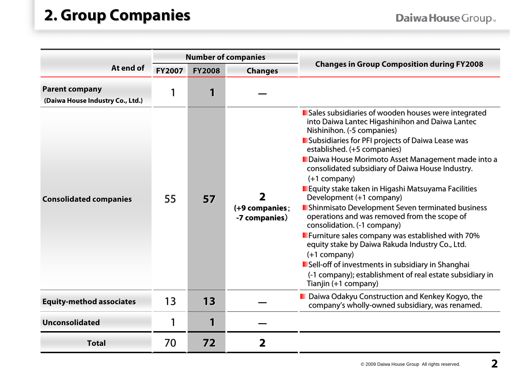#### **2. Group Companies 2. Group Companies**

|                                                           | <b>Number of companies</b><br><b>FY2007</b><br><b>FY2008</b><br><b>Changes</b> |                |                                 |                                                                                                                                                                                                                                                                                                                                                                                                                                                                                                                                                                                                                                                                                                                                                                                                                                                             |
|-----------------------------------------------------------|--------------------------------------------------------------------------------|----------------|---------------------------------|-------------------------------------------------------------------------------------------------------------------------------------------------------------------------------------------------------------------------------------------------------------------------------------------------------------------------------------------------------------------------------------------------------------------------------------------------------------------------------------------------------------------------------------------------------------------------------------------------------------------------------------------------------------------------------------------------------------------------------------------------------------------------------------------------------------------------------------------------------------|
| At end of                                                 |                                                                                |                |                                 | <b>Changes in Group Composition during FY2008</b>                                                                                                                                                                                                                                                                                                                                                                                                                                                                                                                                                                                                                                                                                                                                                                                                           |
| <b>Parent company</b><br>(Daiwa House Industry Co., Ltd.) | 1                                                                              | 1              |                                 |                                                                                                                                                                                                                                                                                                                                                                                                                                                                                                                                                                                                                                                                                                                                                                                                                                                             |
| <b>Consolidated companies</b>                             | 55                                                                             | 57             | (+9 companies;<br>-7 companies) | Sales subsidiaries of wooden houses were integrated<br>into Daiwa Lantec Higashinihon and Daiwa Lantec<br>Nishinihon. (-5 companies)<br>Subsidiaries for PFI projects of Daiwa Lease was<br>established. (+5 companies)<br>Daiwa House Morimoto Asset Management made into a<br>consolidated subsidiary of Daiwa House Industry.<br>$(+1$ company)<br>Equity stake taken in Higashi Matsuyama Facilities<br>Development (+1 company)<br><b>E</b> Shinmisato Development Seven terminated business<br>operations and was removed from the scope of<br>consolidation. (-1 company)<br><b>E</b> Furniture sales company was established with 70%<br>equity stake by Daiwa Rakuda Industry Co., Ltd.<br>$(+1$ company)<br>Sell-off of investments in subsidiary in Shanghai<br>(-1 company); establishment of real estate subsidiary in<br>Tianjin (+1 company) |
| <b>Equity-method associates</b>                           | 13                                                                             | 13             |                                 | D Daiwa Odakyu Construction and Kenkey Kogyo, the<br>company's wholly-owned subsidiary, was renamed.                                                                                                                                                                                                                                                                                                                                                                                                                                                                                                                                                                                                                                                                                                                                                        |
| <b>Unconsolidated</b>                                     | 1                                                                              | $\blacksquare$ |                                 |                                                                                                                                                                                                                                                                                                                                                                                                                                                                                                                                                                                                                                                                                                                                                                                                                                                             |
| <b>Total</b>                                              | 70                                                                             | 72             | 2                               |                                                                                                                                                                                                                                                                                                                                                                                                                                                                                                                                                                                                                                                                                                                                                                                                                                                             |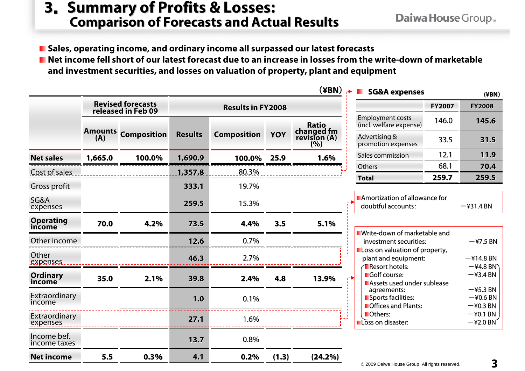# **<sup>3</sup>**. **Summary of Profits & Losses: Summary of Profits & Losses: Comparison of Forecasts and Actual Results Comparison of Forecasts and Actual Results**

Daiwa House Group.

**Sales, operating income, and ordinary income all surpassed our latest forecasts** ■ Net income fell short of our latest forecast due to an increase in losses from the write-down of marketable **and investment securities, and losses on valuation of property, plant and equipment**

|                             |         |                                                |                          |                    |            | $(\yen)$                          | <b>The State</b><br><b>SG&amp;A expenses</b>                                       |               | $(\angle$ BN $)$                          |  |
|-----------------------------|---------|------------------------------------------------|--------------------------|--------------------|------------|-----------------------------------|------------------------------------------------------------------------------------|---------------|-------------------------------------------|--|
|                             |         | <b>Revised forecasts</b><br>released in Feb 09 | <b>Results in FY2008</b> |                    |            |                                   | <b>FY2007</b>                                                                      | <b>FY2008</b> |                                           |  |
|                             |         |                                                |                          |                    |            | <b>Ratio</b>                      | <b>Employment costs</b><br>(incl. welfare expense)                                 | 146.0         | 145.6                                     |  |
|                             | (A)     | <b>Amounts Composition</b>                     | <b>Results</b>           | <b>Composition</b> | <b>YOY</b> | changed fm<br>revision (A)<br>(%) | Advertising &<br>promotion expenses                                                | 33.5          | 31.5                                      |  |
| <b>Net sales</b>            | 1,665.0 | 100.0%                                         | 1,690.9                  | 100.0%             | 25.9       | 1.6%                              | Sales commission                                                                   | 12.1          | 11.9                                      |  |
| Cost of sales               |         |                                                | 1,357.8                  | 80.3%              |            |                                   | Others                                                                             | 68.1          | 70.4                                      |  |
|                             |         |                                                |                          |                    |            |                                   | <b>Total</b>                                                                       | 259.7         | 259.5                                     |  |
| Gross profit                |         |                                                | 333.1                    | 19.7%              |            |                                   |                                                                                    |               |                                           |  |
| SG&A<br>expenses            |         |                                                | 259.5                    | 15.3%              |            |                                   | <b>Amortization of allowance for</b><br>doubtful accounts:<br>$-\frac{2}{31.4}$ BN |               |                                           |  |
| <b>Operating</b><br>income  | 70.0    | 4.2%                                           | 73.5                     | 4.4%               | 3.5        | 5.1%                              |                                                                                    |               |                                           |  |
| Other income                |         |                                                | 12.6                     | 0.7%               |            |                                   | <b>U</b> Write-down of marketable and<br>$-47.5$ BN<br>investment securities:      |               |                                           |  |
| Other<br>expenses           |         |                                                | 46.3                     | 2.7%               |            |                                   | Loss on valuation of property,<br>plant and equipment:                             |               | $-$ ¥14.8 BN                              |  |
| Ordinary<br>income          | 35.0    | 2.1%                                           | 39.8                     | 2.4%               | 4.8        | 13.9%                             | <b>T</b> Resort hotels:<br>Golf course:<br>Assets used under sublease              |               | $-$ ¥4.8 BN<br>$-43.4$ BN                 |  |
| Extraordinary<br>income     |         |                                                | 1.0                      | 0.1%               |            |                                   | agreements:<br>Sports facilities:<br>Offices and Plants:                           |               | $-$ ¥5.3 BN<br>$-$ ¥0.6 BN<br>$-$ ¥0.3 BN |  |
| Extraordinary               |         |                                                |                          |                    |            |                                   | Others:                                                                            |               | $-$ ¥0.1 BN                               |  |
| expenses                    |         |                                                | 27.1                     | 1.6%               |            |                                   | Loss on disaster:                                                                  |               | $-$ ¥2.0 BN                               |  |
| Income bef.<br>income taxes |         |                                                | 13.7                     | 0.8%               |            |                                   |                                                                                    |               |                                           |  |
| <b>Net income</b>           | 5.5     | 0.3%                                           | 4.1                      | 0.2%               | (1.3)      | (24.2%)                           |                                                                                    |               |                                           |  |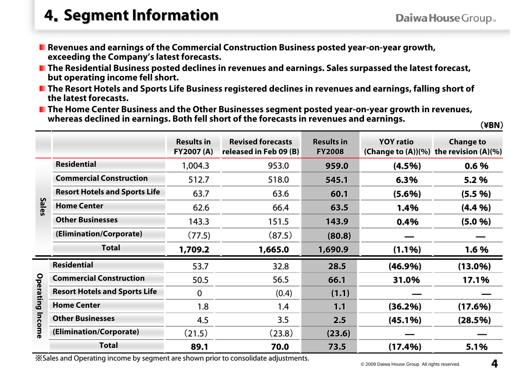#### **<sup>4</sup>**.**Segment Information Segment Information**

- **Revenues and earnings of the Commercial Construction Business posted year-on-year growth, exceeding the Company's latest forecasts.**
- The Residential Business posted declines in revenues and earnings. Sales surpassed the latest forecast, **but operating income fell short.**
- The Resort Hotels and Sports Life Business registered declines in revenues and earnings, falling short of **the latest forecasts.**
- **The Home Center Business and the Other Businesses segment posted year-on-year growth in revenues, whereas declined in earnings. Both fell short of the forecasts in revenues and earnings.**

(**¥BN**)

|                  |                                      | <b>Results in</b><br><b>FY2007 (A)</b> | <b>Revised forecasts</b><br>released in Feb 09 (B) | <b>Results in</b><br><b>FY2008</b> | <b>YOY ratio</b> | <b>Change to</b><br>(Change to $(A)$ ) $(%)$ the revision $(A)(%)$ |
|------------------|--------------------------------------|----------------------------------------|----------------------------------------------------|------------------------------------|------------------|--------------------------------------------------------------------|
|                  | <b>Residential</b>                   | 1,004.3                                | 953.0                                              | 959.0                              | $(4.5\%)$        | 0.6%                                                               |
|                  | <b>Commercial Construction</b>       | 512.7                                  | 518.0                                              | 545.1                              | 6.3%             | 5.2 %                                                              |
|                  | <b>Resort Hotels and Sports Life</b> | 63.7                                   | 63.6                                               | 60.1                               | $(5.6\%)$        | (5.5 %)                                                            |
| <b>Sales</b>     | <b>Home Center</b>                   | 62.6                                   | 66.4                                               | 63.5                               | 1.4%             | (4.4%)                                                             |
|                  | <b>Other Businesses</b>              | 143.3                                  | 151.5                                              | 143.9                              | 0.4%             | (5.0 %)                                                            |
|                  | (Elimination/Corporate)              | (77.5)                                 | (87.5)                                             | (80.8)                             |                  |                                                                    |
|                  | <b>Total</b>                         | 1,709.2                                | 1,665.0                                            | 1,690.9                            | $(1.1\%)$        | 1.6 %                                                              |
|                  | <b>Residential</b>                   | 53.7                                   | 32.8                                               | 28.5                               | $(46.9\%)$       | $(13.0\%)$                                                         |
|                  | <b>Commercial Construction</b>       | 50.5                                   | 56.5                                               | 66.1                               | 31.0%            | 17.1%                                                              |
| <b>Operating</b> | <b>Resort Hotels and Sports Life</b> | $\overline{0}$                         | (0.4)                                              | (1.1)                              |                  |                                                                    |
|                  | <b>Home Center</b>                   | 1.8                                    | 1.4                                                | 1.1                                | (36.2%)          | (17.6%)                                                            |
| Income           | <b>Other Businesses</b>              | 4.5                                    | 3.5                                                | 2.5                                | (45.1%)          | (28.5%)                                                            |
|                  | (Elimination/Corporate)              | (21.5)                                 | (23.8)                                             | (23.6)                             |                  |                                                                    |
|                  | <b>Total</b>                         | 89.1                                   | 70.0                                               | 73.5                               | (17.4%)          | 5.1%                                                               |

Sales and Operating income by segment are shown prior to consolidate adjustments.<br>© 2009 Daiwa House Group All rights reserved.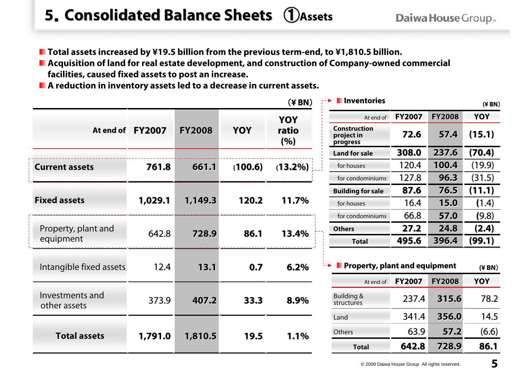### **5**.**Consolidated Balance Sheets Consolidated Balance Sheets** ①**Assets**

- Total assets increased by ¥19.5 billion from the previous term-end, to ¥1,810.5 billion.
- Acquisition of land for real estate development, and construction of Company-owned commercial **facilities, caused fixed assets to post an increase.**
- **A reduction in inventory assets led to a decrease in current assets.**

|                                 |               |               |                     | $(4$ BN $)$   | <b>I</b> Inventories                          |               |               | $(\yen$ BN) |        |
|---------------------------------|---------------|---------------|---------------------|---------------|-----------------------------------------------|---------------|---------------|-------------|--------|
|                                 | YOY           |               | At end of           | <b>FY2007</b> | <b>FY2008</b>                                 | YOY           |               |             |        |
| At end of                       | <b>FY2007</b> | <b>FY2008</b> | YOY<br>ratio<br>(%) |               | <b>Construction</b><br>project in<br>progress | 72.6          | 57.4          | (15.1)      |        |
|                                 |               |               |                     |               | <b>Land for sale</b>                          | 308.0         | 237.6         | (70.4)      |        |
| <b>Current assets</b>           | 761.8         | 661.1         | (100.6)             | (13.2%)       | for houses                                    | 120.4         | 100.4         | (19.9)      |        |
|                                 |               |               |                     |               | for condominiums                              | 127.8         | 96.3          | (31.5)      |        |
|                                 |               |               |                     |               | <b>Building for sale</b>                      | 87.6          | 76.5          | (11.1)      |        |
| <b>Fixed assets</b>             | 1,029.1       | 1,149.3       | 120.2               | 11.7%         |                                               | for houses    | 16.4          | 15.0        | (1.4)  |
|                                 |               |               |                     | 86.1<br>13.4% | for condominiums                              | 66.8          | 57.0          | (9.8)       |        |
| Property, plant and             | 642.8         | 728.9         |                     |               | <b>Others</b>                                 | 27.2          | 24.8          | (2.4)       |        |
| equipment                       |               |               |                     |               |                                               | <b>Total</b>  | 495.6         | 396.4       | (99.1) |
| Intangible fixed assets         | 12.4          | 13.1          | 0.7                 | 6.2%          | <b>Property, plant and equipment</b>          |               |               | $(\yen BN)$ |        |
|                                 |               |               |                     |               | At end of                                     | <b>FY2007</b> | <b>FY2008</b> | YOY         |        |
| Investments and<br>other assets | 373.9         | 407.2         | 33.3                | 8.9%          | Building &<br>structures                      | 237.4         | 315.6         | 78.2        |        |
|                                 |               |               |                     |               | Land                                          | 341.4         | 356.0         | 14.5        |        |
| <b>Total assets</b>             | 1,791.0       | 1,810.5       | 19.5                | 1.1%          | Others                                        | 63.9          | 57.2          | (6.6)       |        |
|                                 |               |               |                     |               | <b>Total</b>                                  | 642.8         | 728.9         | 86.1        |        |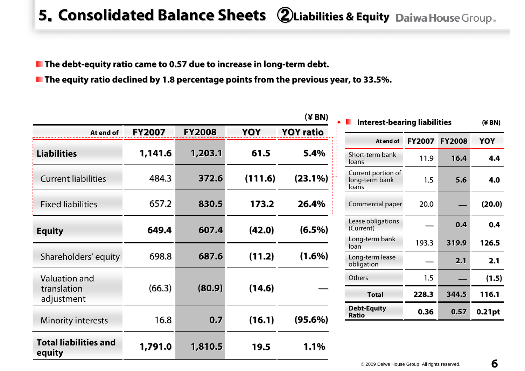### **5**.**Consolidated Balance Sheets Consolidated Balance Sheets** ②**Liabilities & Equity Liabilities & Equity**

**The debt The debt-equity ratio came to 0.57 equity ratio came to 0.57 due to increas due to increase in long e in long-term debt. term debt.**

**E** The equity ratio declined by 1.8 percentage points from the previous year, to 33.5%.

|                                        |               |               |         | $(*BN)$          | <b>Interest-bearing liabilities</b>           |               |               | $(4$ BN) |
|----------------------------------------|---------------|---------------|---------|------------------|-----------------------------------------------|---------------|---------------|----------|
| At end of                              | <b>FY2007</b> | <b>FY2008</b> | YOY     | <b>YOY ratio</b> |                                               |               |               |          |
|                                        |               |               |         |                  | At end of                                     | <b>FY2007</b> | <b>FY2008</b> | YOY      |
| <b>Liabilities</b>                     | 1,141.6       | 1,203.1       | 61.5    | 5.4%             | Short-term bank<br>loans                      | 11.9          | 16.4          | 4.4      |
| <b>Current liabilities</b>             | 484.3         | 372.6         | (111.6) | $(23.1\%)$       | Current portion of<br>long-term bank<br>loans | 1.5           | 5.6           | 4.0      |
| <b>Fixed liabilities</b>               | 657.2         | 830.5         | 173.2   | 26.4%            | Commercial paper                              | 20.0          |               | (20.0)   |
| <b>Equity</b>                          | 649.4         | 607.4         | (42.0)  | $(6.5\%)$        | Lease obligations<br>(Current)                |               | 0.4           | 0,4      |
|                                        |               |               |         |                  | Long-term bank<br>loan                        | 193.3         | 319.9         | 126.5    |
| Shareholders' equity                   | 698.8         | 687.6         | (11.2)  | $(1.6\%)$        | Long-term lease<br>obligation                 |               | 2.1           | 2.1      |
| Valuation and                          |               |               |         |                  | Others                                        | 1.5           |               | (1.5)    |
| translation<br>adjustment              | (66.3)        | (80.9)        | (14.6)  |                  | <b>Total</b>                                  | 228.3         | 344.5         | 116.1    |
| <b>Minority interests</b>              | 16.8          | 0.7           | (16.1)  | $(95.6\%)$       | <b>Debt-Equity</b><br><b>Ratio</b>            | 0.36          | 0.57          | 0.21pt   |
|                                        |               |               |         |                  |                                               |               |               |          |
| <b>Total liabilities and</b><br>equity | 1,791.0       | 1,810.5       | 19.5    | 1.1%             |                                               |               |               |          |

6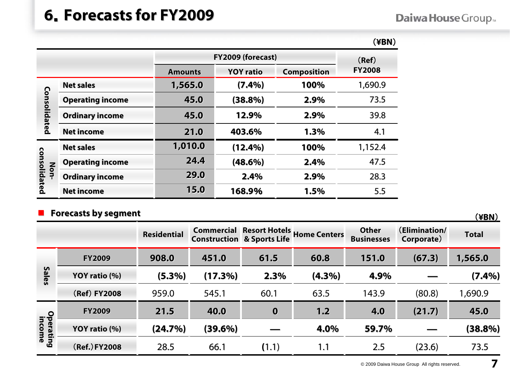#### **6**.**Forecasts for FY2009 Forecasts for FY2009**

#### Daiwa House Group.

|                      |                         |                |                   |      | (¥BN)   |  |  |  |  |
|----------------------|-------------------------|----------------|-------------------|------|---------|--|--|--|--|
|                      |                         |                | FY2009 (forecast) |      |         |  |  |  |  |
|                      |                         | <b>Amounts</b> | <b>FY2008</b>     |      |         |  |  |  |  |
|                      | <b>Net sales</b>        | 1,565.0        | (7.4%)            | 100% | 1,690.9 |  |  |  |  |
|                      | <b>Operating income</b> | 45.0           | (38.8%)           | 2.9% | 73.5    |  |  |  |  |
| Consolidated         | <b>Ordinary income</b>  | 45.0           | 12.9%             | 2.9% | 39.8    |  |  |  |  |
|                      | <b>Net income</b>       | 21.0           | 403.6%            | 1.3% | 4.1     |  |  |  |  |
|                      | <b>Net sales</b>        | 1,010.0        | (12.4%)           | 100% | 1,152.4 |  |  |  |  |
|                      | <b>Operating income</b> | 24.4           | $(48.6\%)$        | 2.4% | 47.5    |  |  |  |  |
| consolidated<br>Non- | <b>Ordinary income</b>  | 29.0           | 2.4%              | 2.9% | 28.3    |  |  |  |  |
|                      | <b>Net income</b>       | 15.0           | 168.9%            | 1.5% | 5.5     |  |  |  |  |

#### ٦ **Forecasts by segment Forecasts by segment**(**¥BN**)

**Residential Residential**| Commercial Resort Hotels | University Commercial Resort Hotels | Other (Elimination/ Total<br>| Construction & Sports Life | Home Centers Businesses | Corporate) | Total **Sales FY2009 908.0 451.0 61.5 60.8 151.0 (67.3) 1,565.0 1,565.0 YOY ratio (%) (5.3%) (17.3%) (17.3%) 2.3% (4.3%) 4.9%** ― **(7.4%)** (**Ref**) **FY2008** 959.0 545.1 60.1 63.5 143.9 (80.8) 1,690.9 **Operating income FY2009 21.5 40.0 0 1.2 4.0 (21.7) 45.0 YOY ratio (%) (24.7%) (24.7%) (39.6%) (39.6%)** ― **4.0% 59.7%** ― **(38.8%) (38.8%)** (**Ref.**)**FY2008** 28.566.1 **(**1.1) 1.1 2.5 (23.6) 73.5